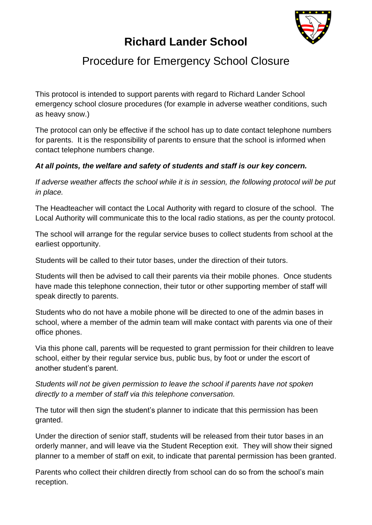

## **Richard Lander School**

## Procedure for Emergency School Closure

This protocol is intended to support parents with regard to Richard Lander School emergency school closure procedures (for example in adverse weather conditions, such as heavy snow.)

The protocol can only be effective if the school has up to date contact telephone numbers for parents. It is the responsibility of parents to ensure that the school is informed when contact telephone numbers change.

## *At all points, the welfare and safety of students and staff is our key concern.*

If adverse weather affects the school while it is in session, the following protocol will be put *in place.*

The Headteacher will contact the Local Authority with regard to closure of the school. The Local Authority will communicate this to the local radio stations, as per the county protocol.

The school will arrange for the regular service buses to collect students from school at the earliest opportunity.

Students will be called to their tutor bases, under the direction of their tutors.

Students will then be advised to call their parents via their mobile phones. Once students have made this telephone connection, their tutor or other supporting member of staff will speak directly to parents.

Students who do not have a mobile phone will be directed to one of the admin bases in school, where a member of the admin team will make contact with parents via one of their office phones.

Via this phone call, parents will be requested to grant permission for their children to leave school, either by their regular service bus, public bus, by foot or under the escort of another student's parent.

*Students will not be given permission to leave the school if parents have not spoken directly to a member of staff via this telephone conversation.*

The tutor will then sign the student's planner to indicate that this permission has been granted.

Under the direction of senior staff, students will be released from their tutor bases in an orderly manner, and will leave via the Student Reception exit. They will show their signed planner to a member of staff on exit, to indicate that parental permission has been granted.

Parents who collect their children directly from school can do so from the school's main reception.